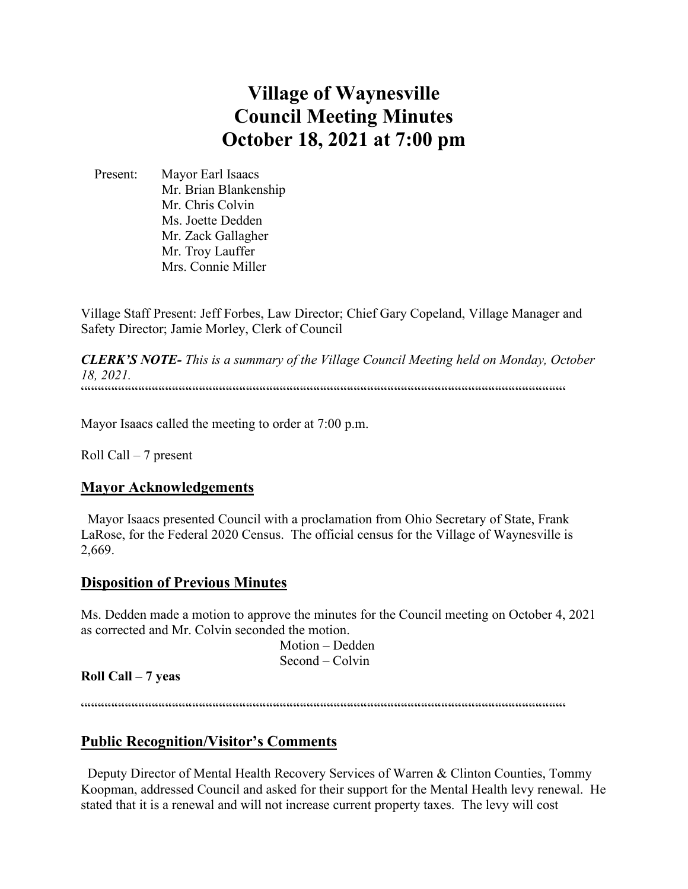# **Village of Waynesville Council Meeting Minutes October 18, 2021 at 7:00 pm**

 Present: Mayor Earl Isaacs Mr. Brian Blankenship Mr. Chris Colvin Ms. Joette Dedden Mr. Zack Gallagher Mr. Troy Lauffer Mrs. Connie Miller

Village Staff Present: Jeff Forbes, Law Director; Chief Gary Copeland, Village Manager and Safety Director; Jamie Morley, Clerk of Council

*CLERK'S NOTE- This is a summary of the Village Council Meeting held on Monday, October 18, 2021.*   $\label{prop:main}$ 

Mayor Isaacs called the meeting to order at 7:00 p.m.

Roll Call – 7 present

## **Mayor Acknowledgements**

 Mayor Isaacs presented Council with a proclamation from Ohio Secretary of State, Frank LaRose, for the Federal 2020 Census. The official census for the Village of Waynesville is 2,669.

## **Disposition of Previous Minutes**

Ms. Dedden made a motion to approve the minutes for the Council meeting on October 4, 2021 as corrected and Mr. Colvin seconded the motion.

> Motion – Dedden Second – Colvin

## **Roll Call – 7 yeas**

""""""""""""""""""""""""""""""""""""""""""""""""""""""""""""""""""""""""

# **Public Recognition/Visitor's Comments**

 Deputy Director of Mental Health Recovery Services of Warren & Clinton Counties, Tommy Koopman, addressed Council and asked for their support for the Mental Health levy renewal. He stated that it is a renewal and will not increase current property taxes. The levy will cost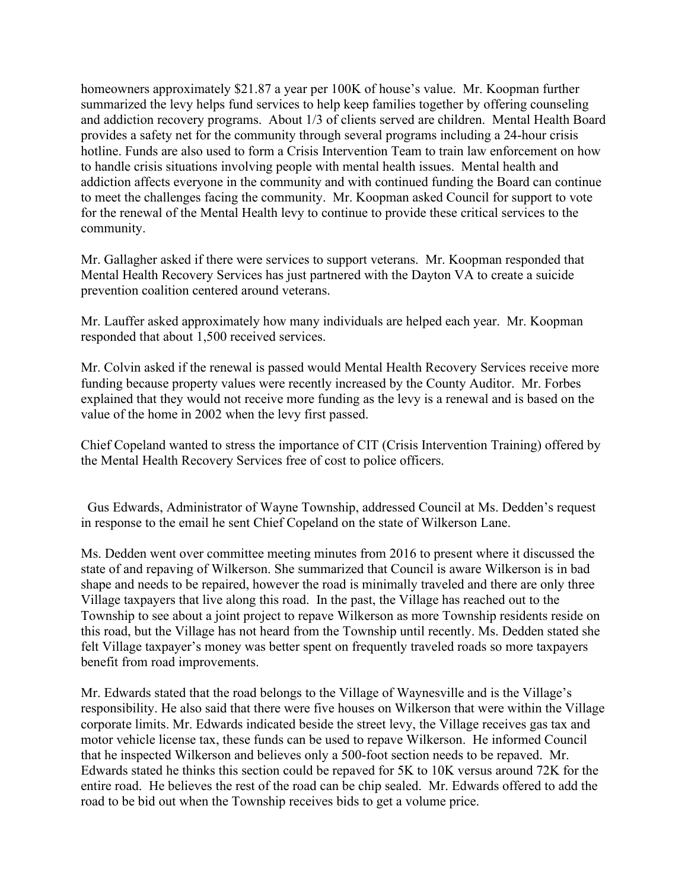homeowners approximately \$21.87 a year per 100K of house's value. Mr. Koopman further summarized the levy helps fund services to help keep families together by offering counseling and addiction recovery programs. About 1/3 of clients served are children. Mental Health Board provides a safety net for the community through several programs including a 24-hour crisis hotline. Funds are also used to form a Crisis Intervention Team to train law enforcement on how to handle crisis situations involving people with mental health issues. Mental health and addiction affects everyone in the community and with continued funding the Board can continue to meet the challenges facing the community. Mr. Koopman asked Council for support to vote for the renewal of the Mental Health levy to continue to provide these critical services to the community.

Mr. Gallagher asked if there were services to support veterans. Mr. Koopman responded that Mental Health Recovery Services has just partnered with the Dayton VA to create a suicide prevention coalition centered around veterans.

Mr. Lauffer asked approximately how many individuals are helped each year. Mr. Koopman responded that about 1,500 received services.

Mr. Colvin asked if the renewal is passed would Mental Health Recovery Services receive more funding because property values were recently increased by the County Auditor. Mr. Forbes explained that they would not receive more funding as the levy is a renewal and is based on the value of the home in 2002 when the levy first passed.

Chief Copeland wanted to stress the importance of CIT (Crisis Intervention Training) offered by the Mental Health Recovery Services free of cost to police officers.

 Gus Edwards, Administrator of Wayne Township, addressed Council at Ms. Dedden's request in response to the email he sent Chief Copeland on the state of Wilkerson Lane.

Ms. Dedden went over committee meeting minutes from 2016 to present where it discussed the state of and repaving of Wilkerson. She summarized that Council is aware Wilkerson is in bad shape and needs to be repaired, however the road is minimally traveled and there are only three Village taxpayers that live along this road. In the past, the Village has reached out to the Township to see about a joint project to repave Wilkerson as more Township residents reside on this road, but the Village has not heard from the Township until recently. Ms. Dedden stated she felt Village taxpayer's money was better spent on frequently traveled roads so more taxpayers benefit from road improvements.

Mr. Edwards stated that the road belongs to the Village of Waynesville and is the Village's responsibility. He also said that there were five houses on Wilkerson that were within the Village corporate limits. Mr. Edwards indicated beside the street levy, the Village receives gas tax and motor vehicle license tax, these funds can be used to repave Wilkerson. He informed Council that he inspected Wilkerson and believes only a 500-foot section needs to be repaved. Mr. Edwards stated he thinks this section could be repaved for 5K to 10K versus around 72K for the entire road. He believes the rest of the road can be chip sealed. Mr. Edwards offered to add the road to be bid out when the Township receives bids to get a volume price.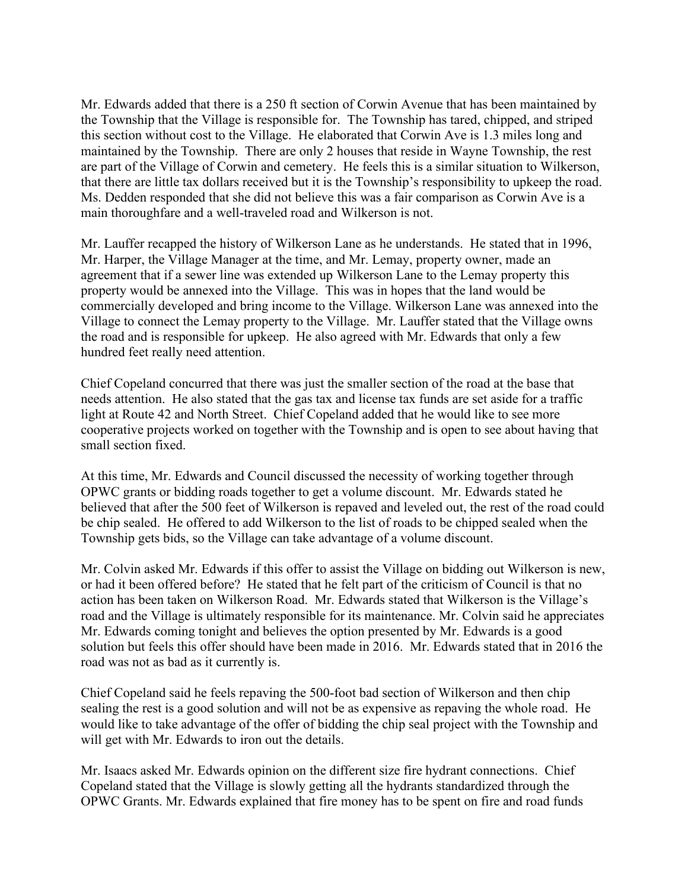Mr. Edwards added that there is a 250 ft section of Corwin Avenue that has been maintained by the Township that the Village is responsible for. The Township has tared, chipped, and striped this section without cost to the Village. He elaborated that Corwin Ave is 1.3 miles long and maintained by the Township. There are only 2 houses that reside in Wayne Township, the rest are part of the Village of Corwin and cemetery. He feels this is a similar situation to Wilkerson, that there are little tax dollars received but it is the Township's responsibility to upkeep the road. Ms. Dedden responded that she did not believe this was a fair comparison as Corwin Ave is a main thoroughfare and a well-traveled road and Wilkerson is not.

Mr. Lauffer recapped the history of Wilkerson Lane as he understands. He stated that in 1996, Mr. Harper, the Village Manager at the time, and Mr. Lemay, property owner, made an agreement that if a sewer line was extended up Wilkerson Lane to the Lemay property this property would be annexed into the Village. This was in hopes that the land would be commercially developed and bring income to the Village. Wilkerson Lane was annexed into the Village to connect the Lemay property to the Village. Mr. Lauffer stated that the Village owns the road and is responsible for upkeep. He also agreed with Mr. Edwards that only a few hundred feet really need attention.

Chief Copeland concurred that there was just the smaller section of the road at the base that needs attention. He also stated that the gas tax and license tax funds are set aside for a traffic light at Route 42 and North Street. Chief Copeland added that he would like to see more cooperative projects worked on together with the Township and is open to see about having that small section fixed.

At this time, Mr. Edwards and Council discussed the necessity of working together through OPWC grants or bidding roads together to get a volume discount. Mr. Edwards stated he believed that after the 500 feet of Wilkerson is repaved and leveled out, the rest of the road could be chip sealed. He offered to add Wilkerson to the list of roads to be chipped sealed when the Township gets bids, so the Village can take advantage of a volume discount.

Mr. Colvin asked Mr. Edwards if this offer to assist the Village on bidding out Wilkerson is new, or had it been offered before? He stated that he felt part of the criticism of Council is that no action has been taken on Wilkerson Road. Mr. Edwards stated that Wilkerson is the Village's road and the Village is ultimately responsible for its maintenance. Mr. Colvin said he appreciates Mr. Edwards coming tonight and believes the option presented by Mr. Edwards is a good solution but feels this offer should have been made in 2016. Mr. Edwards stated that in 2016 the road was not as bad as it currently is.

Chief Copeland said he feels repaving the 500-foot bad section of Wilkerson and then chip sealing the rest is a good solution and will not be as expensive as repaving the whole road. He would like to take advantage of the offer of bidding the chip seal project with the Township and will get with Mr. Edwards to iron out the details.

Mr. Isaacs asked Mr. Edwards opinion on the different size fire hydrant connections. Chief Copeland stated that the Village is slowly getting all the hydrants standardized through the OPWC Grants. Mr. Edwards explained that fire money has to be spent on fire and road funds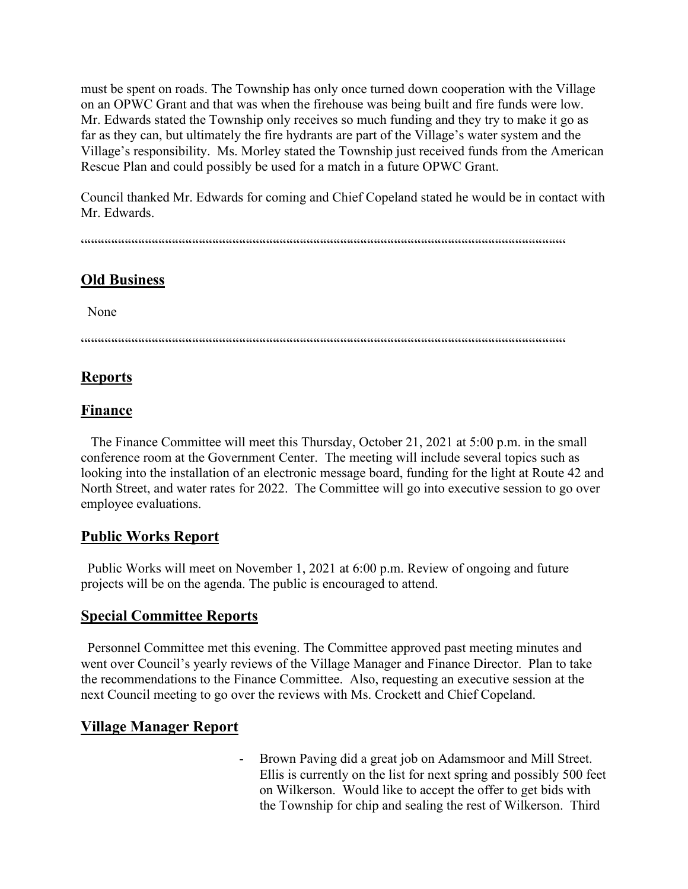must be spent on roads. The Township has only once turned down cooperation with the Village on an OPWC Grant and that was when the firehouse was being built and fire funds were low. Mr. Edwards stated the Township only receives so much funding and they try to make it go as far as they can, but ultimately the fire hydrants are part of the Village's water system and the Village's responsibility. Ms. Morley stated the Township just received funds from the American Rescue Plan and could possibly be used for a match in a future OPWC Grant.

Council thanked Mr. Edwards for coming and Chief Copeland stated he would be in contact with Mr. Edwards.

""""""""""""""""""""""""""""""""""""""""""""""""""""""""""""""""""""""""

## **Old Business**

None

 $\label{prop:main} \hspace{1.5cm} \hspace{1.5cm} \textcolor{blue}{\textbf{if} \textbf{if} \textbf{if} \textbf{if} \textbf{if} \textbf{if} \textbf{if} \textbf{if} \textbf{if} \textbf{if} \textbf{if} \textbf{if} \textbf{if} \textbf{if} \textbf{if} \textbf{if} \textbf{if} \textbf{if} \textbf{if} \textbf{if} \textbf{if} \textbf{if} \textbf{if} \textbf{if} \textbf{if} \textbf{if} \textbf{if} \textbf{if} \textbf{if} \textbf{if} \textbf{if} \textbf$ 

# **Reports**

## **Finance**

 The Finance Committee will meet this Thursday, October 21, 2021 at 5:00 p.m. in the small conference room at the Government Center. The meeting will include several topics such as looking into the installation of an electronic message board, funding for the light at Route 42 and North Street, and water rates for 2022. The Committee will go into executive session to go over employee evaluations.

## **Public Works Report**

 Public Works will meet on November 1, 2021 at 6:00 p.m. Review of ongoing and future projects will be on the agenda. The public is encouraged to attend.

## **Special Committee Reports**

 Personnel Committee met this evening. The Committee approved past meeting minutes and went over Council's yearly reviews of the Village Manager and Finance Director. Plan to take the recommendations to the Finance Committee. Also, requesting an executive session at the next Council meeting to go over the reviews with Ms. Crockett and Chief Copeland.

# **Village Manager Report**

- Brown Paving did a great job on Adamsmoor and Mill Street. Ellis is currently on the list for next spring and possibly 500 feet on Wilkerson. Would like to accept the offer to get bids with the Township for chip and sealing the rest of Wilkerson. Third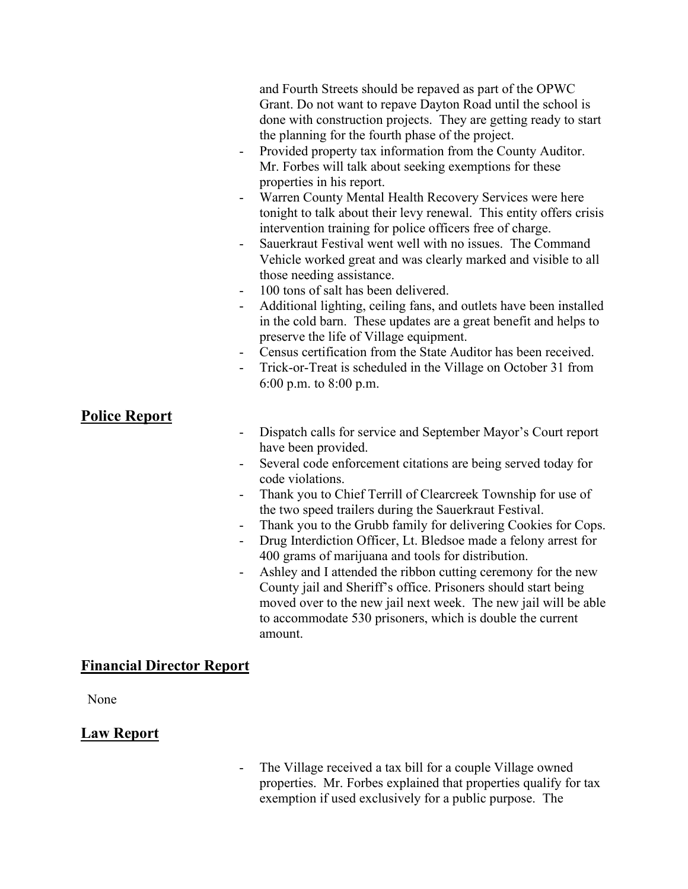| -                                                      | and Fourth Streets should be repaved as part of the OPWC<br>Grant. Do not want to repave Dayton Road until the school is<br>done with construction projects. They are getting ready to start<br>the planning for the fourth phase of the project.<br>Provided property tax information from the County Auditor.<br>Mr. Forbes will talk about seeking exemptions for these<br>properties in his report.<br>Warren County Mental Health Recovery Services were here<br>tonight to talk about their levy renewal. This entity offers crisis<br>intervention training for police officers free of charge.<br>Sauerkraut Festival went well with no issues. The Command<br>Vehicle worked great and was clearly marked and visible to all<br>those needing assistance.<br>100 tons of salt has been delivered.<br>Additional lighting, ceiling fans, and outlets have been installed<br>in the cold barn. These updates are a great benefit and helps to<br>preserve the life of Village equipment.<br>Census certification from the State Auditor has been received.<br>Trick-or-Treat is scheduled in the Village on October 31 from<br>6:00 p.m. to $8:00$ p.m. |
|--------------------------------------------------------|----------------------------------------------------------------------------------------------------------------------------------------------------------------------------------------------------------------------------------------------------------------------------------------------------------------------------------------------------------------------------------------------------------------------------------------------------------------------------------------------------------------------------------------------------------------------------------------------------------------------------------------------------------------------------------------------------------------------------------------------------------------------------------------------------------------------------------------------------------------------------------------------------------------------------------------------------------------------------------------------------------------------------------------------------------------------------------------------------------------------------------------------------------------|
| <b>Police Report</b><br>$\overline{a}$<br>$\mathbf{r}$ | Dispatch calls for service and September Mayor's Court report<br>have been provided.<br>Several code enforcement citations are being served today for<br>code violations.<br>Thank you to Chief Terrill of Clearcreek Township for use of<br>the two speed trailers during the Sauerkraut Festival.<br>Thank you to the Grubb family for delivering Cookies for Cops.<br>Drug Interdiction Officer, Lt. Bledsoe made a felony arrest for<br>400 grams of marijuana and tools for distribution.<br>Ashley and I attended the ribbon cutting ceremony for the new<br>County jail and Sheriff's office. Prisoners should start being<br>moved over to the new jail next week. The new jail will be able<br>to accommodate 530 prisoners, which is double the current<br>amount.                                                                                                                                                                                                                                                                                                                                                                                   |

## **Financial Director Report**

None

# **Law Report**

- The Village received a tax bill for a couple Village owned properties. Mr. Forbes explained that properties qualify for tax exemption if used exclusively for a public purpose. The